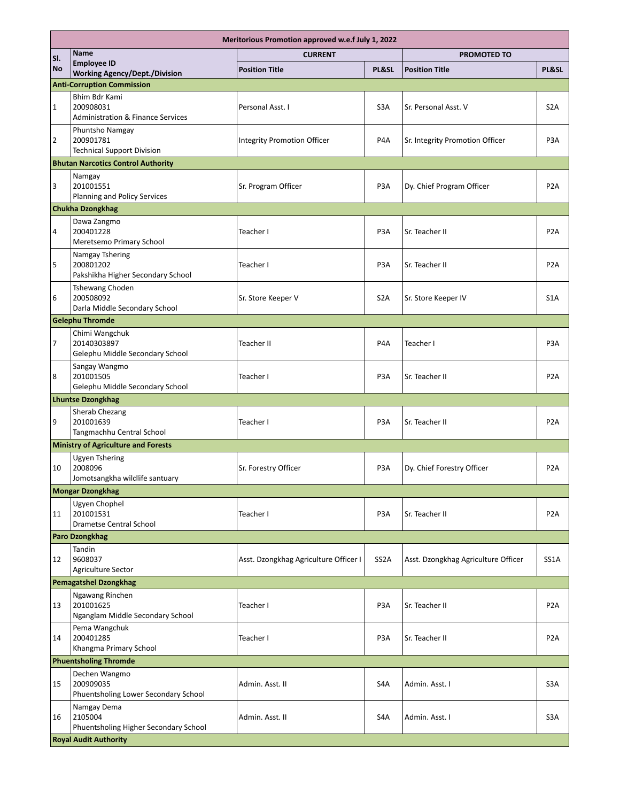| Meritorious Promotion approved w.e.f July 1, 2022 |                                                                            |                                       |                   |                                     |                  |  |  |
|---------------------------------------------------|----------------------------------------------------------------------------|---------------------------------------|-------------------|-------------------------------------|------------------|--|--|
| SI.                                               | Name                                                                       | <b>CURRENT</b>                        |                   | <b>PROMOTED TO</b>                  |                  |  |  |
| <b>No</b>                                         | <b>Employee ID</b><br><b>Working Agency/Dept./Division</b>                 | <b>Position Title</b>                 | PL&SL             | <b>Position Title</b>               | PL&SL            |  |  |
| <b>Anti-Corruption Commission</b>                 |                                                                            |                                       |                   |                                     |                  |  |  |
| $\mathbf{1}$                                      | Bhim Bdr Kami<br>200908031<br><b>Administration &amp; Finance Services</b> | Personal Asst. I                      | S <sub>3</sub> A  | Sr. Personal Asst. V                | S <sub>2</sub> A |  |  |
| $\overline{2}$                                    | Phuntsho Namgay<br>200901781<br><b>Technical Support Division</b>          | <b>Integrity Promotion Officer</b>    | P <sub>4</sub> A  | Sr. Integrity Promotion Officer     | P <sub>3</sub> A |  |  |
|                                                   | <b>Bhutan Narcotics Control Authority</b>                                  |                                       |                   |                                     |                  |  |  |
| 3                                                 | Namgay<br>201001551<br>Planning and Policy Services                        | Sr. Program Officer                   | P3A               | Dy. Chief Program Officer           | P <sub>2</sub> A |  |  |
|                                                   | <b>Chukha Dzongkhag</b>                                                    |                                       |                   |                                     |                  |  |  |
| 4                                                 | Dawa Zangmo<br>200401228<br>Meretsemo Primary School                       | Teacher I                             | P <sub>3</sub> A  | Sr. Teacher II                      | P <sub>2</sub> A |  |  |
| 5                                                 | Namgay Tshering<br>200801202<br>Pakshikha Higher Secondary School          | Teacher I                             | P <sub>3</sub> A  | Sr. Teacher II                      | P <sub>2</sub> A |  |  |
| 6                                                 | <b>Tshewang Choden</b><br>200508092<br>Darla Middle Secondary School       | Sr. Store Keeper V                    | S <sub>2</sub> A  | Sr. Store Keeper IV                 | S <sub>1</sub> A |  |  |
|                                                   | <b>Gelephu Thromde</b>                                                     |                                       |                   |                                     |                  |  |  |
| $\overline{7}$                                    | Chimi Wangchuk<br>20140303897<br>Gelephu Middle Secondary School           | Teacher II                            | P4A               | Teacher I                           | P <sub>3</sub> A |  |  |
| 8                                                 | Sangay Wangmo<br>201001505<br>Gelephu Middle Secondary School              | Teacher I                             | P <sub>3</sub> A  | Sr. Teacher II                      | P <sub>2</sub> A |  |  |
|                                                   | <b>Lhuntse Dzongkhag</b>                                                   |                                       |                   |                                     |                  |  |  |
| 9                                                 | <b>Sherab Chezang</b><br>201001639<br>Tangmachhu Central School            | Teacher I                             | P <sub>3</sub> A  | Sr. Teacher II                      | P <sub>2</sub> A |  |  |
|                                                   | <b>Ministry of Agriculture and Forests</b>                                 |                                       |                   |                                     |                  |  |  |
| 10                                                | Ugyen Tshering<br>2008096<br>Jomotsangkha wildlife santuary                | Sr. Forestry Officer                  | P <sub>3</sub> A  | Dy. Chief Forestry Officer          | P <sub>2</sub> A |  |  |
|                                                   | <b>Mongar Dzongkhag</b>                                                    |                                       |                   |                                     |                  |  |  |
| 11                                                | Ugyen Chophel<br>201001531<br>Drametse Central School                      | Teacher I                             | P3A               | Sr. Teacher II                      | P <sub>2</sub> A |  |  |
|                                                   | Paro Dzongkhag                                                             |                                       |                   |                                     |                  |  |  |
| 12                                                | Tandin<br>9608037<br><b>Agriculture Sector</b>                             | Asst. Dzongkhag Agriculture Officer I | SS <sub>2</sub> A | Asst. Dzongkhag Agriculture Officer | SS1A             |  |  |
|                                                   | <b>Pemagatshel Dzongkhag</b>                                               |                                       |                   |                                     |                  |  |  |
| 13                                                | Ngawang Rinchen<br>201001625<br>Nganglam Middle Secondary School           | Teacher I                             | P3A               | Sr. Teacher II                      | P <sub>2</sub> A |  |  |
| 14                                                | Pema Wangchuk<br>200401285<br>Khangma Primary School                       | Teacher I                             | P3A               | Sr. Teacher II                      | P <sub>2</sub> A |  |  |
|                                                   | <b>Phuentsholing Thromde</b>                                               |                                       |                   |                                     |                  |  |  |
| 15                                                | Dechen Wangmo<br>200909035<br>Phuentsholing Lower Secondary School         | Admin. Asst. II                       | S4A               | Admin. Asst. I                      | S <sub>3</sub> A |  |  |
| 16                                                | Namgay Dema<br>2105004<br>Phuentsholing Higher Secondary School            | Admin. Asst. II                       | S4A               | Admin. Asst. I                      | S3A              |  |  |
|                                                   | <b>Royal Audit Authority</b>                                               |                                       |                   |                                     |                  |  |  |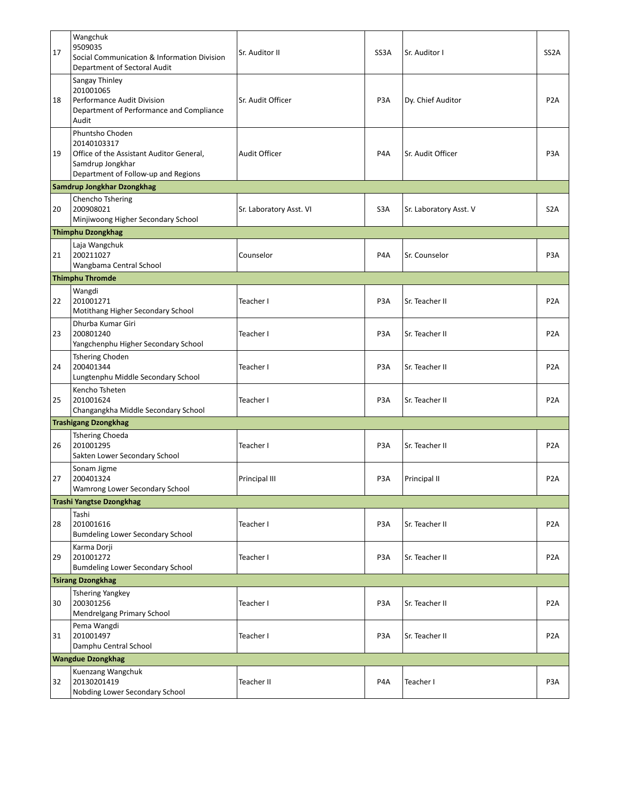| 17                       | Wangchuk<br>9509035<br>Social Communication & Information Division<br>Department of Sectoral Audit                                    | Sr. Auditor II          | SS3A             | Sr. Auditor I          | SS <sub>2</sub> A |  |
|--------------------------|---------------------------------------------------------------------------------------------------------------------------------------|-------------------------|------------------|------------------------|-------------------|--|
| 18                       | Sangay Thinley<br>201001065<br>Performance Audit Division<br>Department of Performance and Compliance<br>Audit                        | Sr. Audit Officer       | P <sub>3</sub> A | Dy. Chief Auditor      | P <sub>2</sub> A  |  |
| 19                       | Phuntsho Choden<br>20140103317<br>Office of the Assistant Auditor General,<br>Samdrup Jongkhar<br>Department of Follow-up and Regions | <b>Audit Officer</b>    | P4A              | Sr. Audit Officer      | P <sub>3</sub> A  |  |
|                          | Samdrup Jongkhar Dzongkhag                                                                                                            |                         |                  |                        |                   |  |
| 20                       | Chencho Tshering<br>200908021<br>Minjiwoong Higher Secondary School                                                                   | Sr. Laboratory Asst. VI | S <sub>3</sub> A | Sr. Laboratory Asst. V | S <sub>2</sub> A  |  |
|                          | <b>Thimphu Dzongkhag</b>                                                                                                              |                         |                  |                        |                   |  |
| 21                       | Laja Wangchuk<br>200211027<br>Wangbama Central School                                                                                 | Counselor               | P <sub>4</sub> A | Sr. Counselor          | P <sub>3</sub> A  |  |
|                          | <b>Thimphu Thromde</b>                                                                                                                |                         |                  |                        |                   |  |
|                          | Wangdi                                                                                                                                |                         |                  |                        |                   |  |
| 22                       | 201001271<br>Motithang Higher Secondary School                                                                                        | Teacher I               | P <sub>3</sub> A | Sr. Teacher II         | P <sub>2</sub> A  |  |
| 23                       | Dhurba Kumar Giri<br>200801240<br>Yangchenphu Higher Secondary School                                                                 | Teacher I               | P <sub>3</sub> A | Sr. Teacher II         | P <sub>2</sub> A  |  |
| 24                       | <b>Tshering Choden</b><br>200401344<br>Lungtenphu Middle Secondary School                                                             | Teacher I               | P <sub>3</sub> A | Sr. Teacher II         | P <sub>2</sub> A  |  |
| 25                       | Kencho Tsheten<br>201001624<br>Changangkha Middle Secondary School                                                                    | Teacher I               | P <sub>3</sub> A | Sr. Teacher II         | P <sub>2</sub> A  |  |
|                          | <b>Trashigang Dzongkhag</b>                                                                                                           |                         |                  |                        |                   |  |
| 26                       | <b>Tshering Choeda</b><br>201001295<br>Sakten Lower Secondary School                                                                  | Teacher I               | P <sub>3</sub> A | Sr. Teacher II         | P <sub>2</sub> A  |  |
| 27                       | Sonam Jigme<br>200401324<br>Wamrong Lower Secondary School                                                                            | Principal III           | P <sub>3</sub> A | Principal II           | P <sub>2</sub> A  |  |
|                          | <b>Trashi Yangtse Dzongkhag</b>                                                                                                       |                         |                  |                        |                   |  |
| 28                       | Tashi<br>201001616<br><b>Bumdeling Lower Secondary School</b>                                                                         | Teacher I               | P <sub>3</sub> A | Sr. Teacher II         | P <sub>2</sub> A  |  |
| 29                       | Karma Dorji<br>201001272<br><b>Bumdeling Lower Secondary School</b>                                                                   | Teacher I               | P3A              | Sr. Teacher II         | P <sub>2</sub> A  |  |
|                          | <b>Tsirang Dzongkhag</b>                                                                                                              |                         |                  |                        |                   |  |
| 30                       | <b>Tshering Yangkey</b><br>200301256<br>Mendrelgang Primary School                                                                    | Teacher I               | P <sub>3</sub> A | Sr. Teacher II         | P <sub>2</sub> A  |  |
| 31                       | Pema Wangdi<br>201001497<br>Damphu Central School                                                                                     | Teacher I               | P <sub>3</sub> A | Sr. Teacher II         | P <sub>2</sub> A  |  |
| <b>Wangdue Dzongkhag</b> |                                                                                                                                       |                         |                  |                        |                   |  |
| 32                       | Kuenzang Wangchuk<br>20130201419<br>Nobding Lower Secondary School                                                                    | Teacher II              | P4A              | Teacher I              | P <sub>3</sub> A  |  |